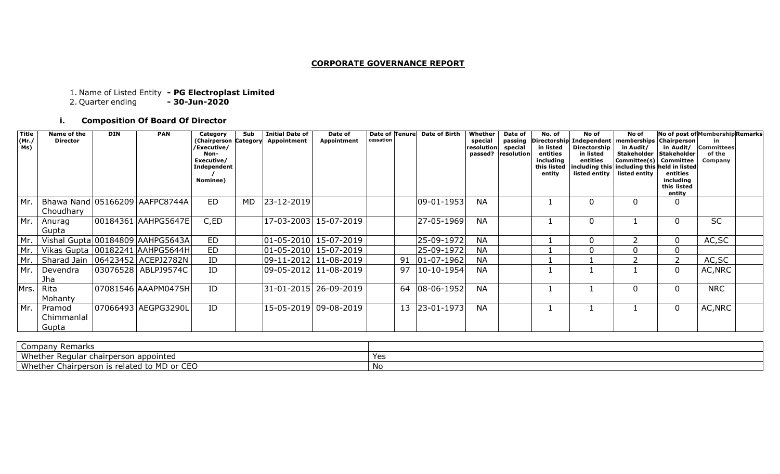#### **CORPORATE GOVERNANCE REPORT**

#### 1. Name of Listed Entity **- PG Electroplast Limited**

2. Quarter ending **- 30-Jun-2020**

## **i. Composition Of Board Of Director**

| <b>Title</b><br>(Mr.)<br>Ms) | Name of the<br><b>Director</b> | <b>DIN</b> | <b>PAN</b>                          | Category<br>(Chairperson Category<br>/Executive/<br>Non-<br>Executive/<br>Independent<br>Nominee) | Sub | <b>Initial Date of</b><br>Appointment | Date of<br>Appointment | <b>Date of Tenurel</b><br>cessation | <b>Date of Birth</b> | Whether<br>special<br>resolution<br>passed? | Date of<br>passing<br>special<br>resolution | No. of<br>in listed<br>entities<br>including<br>this listed<br>entity | No of<br>Directorship Independent   memberships   Chairperson  <br>Directorship  <br>in listed<br>entities<br>listed entity   listed entity | No of<br>in Audit/<br><b>Stakeholder</b><br>Committee(s)<br>including this including this held in listed | in Audit/<br><b>Stakeholder</b><br>Committee<br>entities<br>including<br>this listed<br>entity | No of post of Membership Remarks<br>in<br><b>Committees</b><br>of the<br>Company |
|------------------------------|--------------------------------|------------|-------------------------------------|---------------------------------------------------------------------------------------------------|-----|---------------------------------------|------------------------|-------------------------------------|----------------------|---------------------------------------------|---------------------------------------------|-----------------------------------------------------------------------|---------------------------------------------------------------------------------------------------------------------------------------------|----------------------------------------------------------------------------------------------------------|------------------------------------------------------------------------------------------------|----------------------------------------------------------------------------------|
| Mr.                          | Choudhary                      |            | Bhawa Nand 05166209 AAFPC8744A      | <b>ED</b>                                                                                         | MD. | 23-12-2019                            |                        |                                     | $ 09-01-1953 $       | <b>NA</b>                                   |                                             |                                                                       | 0                                                                                                                                           |                                                                                                          | 0                                                                                              |                                                                                  |
| Mr.                          | Anurag<br>Gupta                |            | 00184361   AAHPG5647E               | C,ED                                                                                              |     |                                       | 17-03-2003 15-07-2019  |                                     | 27-05-1969           | <b>NA</b>                                   |                                             |                                                                       | 0                                                                                                                                           |                                                                                                          | 0                                                                                              | <b>SC</b>                                                                        |
| Mr.                          |                                |            | Vishal Gupta 00184809   AAHPG5643A  | <b>ED</b>                                                                                         |     |                                       | 01-05-2010 15-07-2019  |                                     | 25-09-1972           | <b>NA</b>                                   |                                             |                                                                       | 0                                                                                                                                           |                                                                                                          | 0                                                                                              | AC, SC                                                                           |
| Mr.                          |                                |            | Vikas Gupta   00182241   AAHPG5644H | <b>ED</b>                                                                                         |     |                                       | 01-05-2010 15-07-2019  |                                     | 25-09-1972           | <b>NA</b>                                   |                                             |                                                                       | $\Omega$                                                                                                                                    |                                                                                                          | 0                                                                                              |                                                                                  |
| Mr.                          |                                |            | Sharad Jain   06423452   ACEPJ2782N | ID                                                                                                |     |                                       | 09-11-2012 11-08-2019  |                                     | 91 01-07-1962        | <b>NA</b>                                   |                                             |                                                                       |                                                                                                                                             |                                                                                                          |                                                                                                | AC, SC                                                                           |
| Mr.                          | Devendra<br>Jha                |            | 03076528 ABLPJ9574C                 | ID                                                                                                |     |                                       | 09-05-2012 11-08-2019  |                                     | 97 10-10-1954        | <b>NA</b>                                   |                                             |                                                                       |                                                                                                                                             |                                                                                                          | 0                                                                                              | AC, NRC                                                                          |
| Mrs.                         | Rita<br>Mohanty                |            | 07081546 AAAPM0475H                 | ID                                                                                                |     |                                       | 31-01-2015 26-09-2019  |                                     | 64 08-06-1952        | <b>NA</b>                                   |                                             |                                                                       |                                                                                                                                             |                                                                                                          | 0                                                                                              | <b>NRC</b>                                                                       |
| Mr.                          | Pramod<br>Chimmanlal<br>Gupta  |            | 07066493 AEGPG3290L                 | ID                                                                                                |     |                                       | 15-05-2019 09-08-2019  |                                     | 13 23-01-1973        | <b>NA</b>                                   |                                             |                                                                       |                                                                                                                                             |                                                                                                          | 0                                                                                              | AC, NRC                                                                          |

| `omnany<br>Remarks<br>$\sim$ - Pully F<br>~~''                                                                |     |
|---------------------------------------------------------------------------------------------------------------|-----|
| $101h -$<br>appointed<br>ੋ°r Requic<br>iairperson<br>∵"ar chair∟.<br><b>VILLELIE</b>                          | Yes |
| $\sim$ $\sim$ $\sim$<br>M/h<br>l to MD or<br>Chair<br>rpersor<br>related<br>ro-<br>euit<br>- 15<br>ີ<br>,,,,, | No  |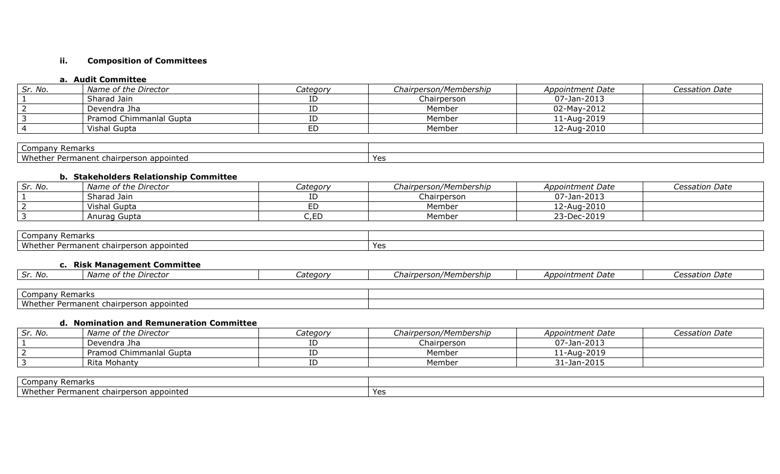## **ii. Composition of Committees**

## **a. Audit Committee**

| Sr. No. | Name of the Director    | Category | Chairperson/Membership | Appointment Date | Cessation Date |
|---------|-------------------------|----------|------------------------|------------------|----------------|
|         | Sharad Jain             |          | Chairperson            | 07-Jan-2013      |                |
|         | Devendra Jha            |          | Member                 | 02-May-2012      |                |
|         | Pramod Chimmanial Gupta |          | Member                 | 11-Aug-2019      |                |
|         | Vishal Gupta            |          | Member                 | 12-Aug-2010      |                |

| Remarks<br>Company '                         |           |
|----------------------------------------------|-----------|
| Whether<br>r Permanent chairperson appointed | Y≙∖<br>-- |

#### **b. Stakeholders Relationship Committee**

| Sr. No. | Name of the Director | Category | Chairperson/Membership | Appointment Date | <i>Cessation Date</i> |
|---------|----------------------|----------|------------------------|------------------|-----------------------|
|         | Sharad Jain          |          | Chairperson            | 07-Jan-2013      |                       |
|         | Vishal Gupta         |          | Member                 | 12-Aug-2010      |                       |
|         | Anurag Gupta         |          | Member                 | 23-Dec-2019      |                       |

| $\sim$<br><b>Remarks</b><br>Company T                  |                      |
|--------------------------------------------------------|----------------------|
| Whether<br>i appointed<br>ianent chairperson<br>Perma. | $V \cap Y$<br>$\sim$ |

## **c. Risk Management Committee**

| Sr. No. | si uje Director<br><i>Name</i><br>י כנננ | ategorv۔ | unairperson/Member<br>embership. . | 125f<br>Appointment Date | <i>Cessation Date</i> |
|---------|------------------------------------------|----------|------------------------------------|--------------------------|-----------------------|
|         |                                          |          |                                    |                          |                       |

| ' Remarks<br>Company                                      |  |
|-----------------------------------------------------------|--|
| Whether<br>appointed<br>Permanent chairperson i<br>. Darm |  |

# **d. Nomination and Remuneration Committee**

| Sr. No. | Name of the Director    | <i>Category</i> | Chairperson/Membership | Appointment Date | <i>Cessation Date</i> |
|---------|-------------------------|-----------------|------------------------|------------------|-----------------------|
|         | Devendra Jha            |                 | Chairperson            | 07-Jan-2013      |                       |
|         | Pramod Chimmanlal Gupta |                 | Member                 | 11-Aug-2019      |                       |
|         | Rita Mohanty            |                 | Member                 | 31-Jan-2015      |                       |

| $\sim$<br>Company Remarks                                                       |    |
|---------------------------------------------------------------------------------|----|
| Whethe <sub>r</sub><br>appointed<br>hairberson:<br>.aner<br><b>Darm</b><br>51 L | V۵ |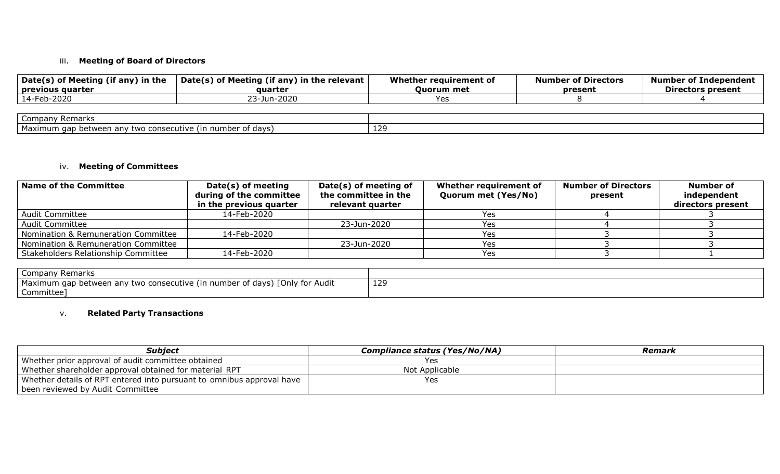## iii. **Meeting of Board of Directors**

| Date(s) of Meeting (if any) in the<br>$\mid$ previous quarter | Date(s) of Meeting (if any) in the relevant $ $<br>auarter | Whether reguirement of<br><b>Ouorum</b> met | <b>Number of Directors</b><br>present | <b>Number of Independent</b><br><b>Directors present</b> |
|---------------------------------------------------------------|------------------------------------------------------------|---------------------------------------------|---------------------------------------|----------------------------------------------------------|
| 14-Feb-2020                                                   | 23-Jun-2020                                                | Yes                                         |                                       |                                                          |
|                                                               |                                                            |                                             |                                       |                                                          |
| Company Remarks                                               |                                                            |                                             |                                       |                                                          |
| Maximum gap between any two consecutive (in number of days)   |                                                            | 129                                         |                                       |                                                          |

#### iv. **Meeting of Committees**

| <b>Name of the Committee</b>        | Date(s) of meeting<br>during of the committee | Date(s) of meeting of<br>the committee in the | Whether requirement of<br>Quorum met (Yes/No) | <b>Number of Directors</b><br>present | Number of<br>independent |
|-------------------------------------|-----------------------------------------------|-----------------------------------------------|-----------------------------------------------|---------------------------------------|--------------------------|
|                                     | in the previous quarter                       | relevant quarter                              |                                               |                                       | directors present        |
| <b>Audit Committee</b>              | 14-Feb-2020                                   |                                               | Yes                                           |                                       |                          |
| <b>Audit Committee</b>              |                                               | 23-Jun-2020                                   | <b>Yes</b>                                    |                                       |                          |
| Nomination & Remuneration Committee | 14-Feb-2020                                   |                                               | Yes                                           |                                       |                          |
| Nomination & Remuneration Committee |                                               | 23-Jun-2020                                   | Yes                                           |                                       |                          |
| Stakeholders Relationship Committee | 14-Feb-2020                                   |                                               | Yes                                           |                                       |                          |

| Company Remarks                                                                                       |     |
|-------------------------------------------------------------------------------------------------------|-----|
| [Only for Audit<br>Maximum gap between any two consecutive (in r<br>umber of days)<br><b>TRULLING</b> | 129 |
| Committee                                                                                             |     |

## v. **Related Party Transactions**

| Subject                                                               | Compliance status (Yes/No/NA) | Remark |
|-----------------------------------------------------------------------|-------------------------------|--------|
| Whether prior approval of audit committee obtained                    | Yes                           |        |
| Whether shareholder approval obtained for material RPT                | Not Applicable                |        |
| Whether details of RPT entered into pursuant to omnibus approval have | Yes                           |        |
| been reviewed by Audit Committee                                      |                               |        |